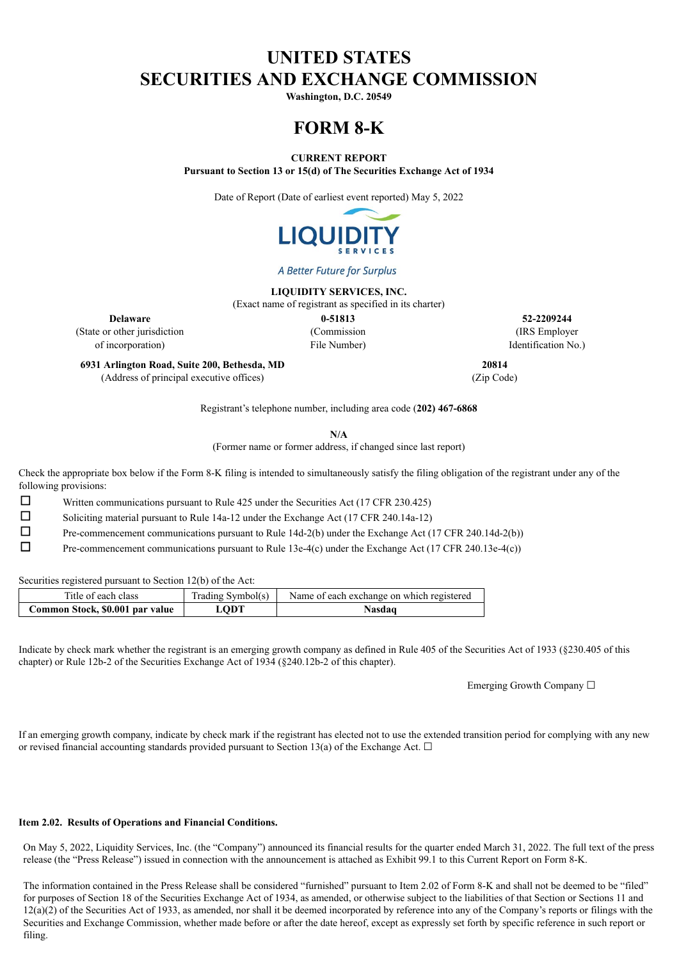# **UNITED STATES SECURITIES AND EXCHANGE COMMISSION**

**Washington, D.C. 20549**

# **FORM 8-K**

**CURRENT REPORT**

**Pursuant to Section 13 or 15(d) of The Securities Exchange Act of 1934**

Date of Report (Date of earliest event reported) May 5, 2022



A Better Future for Surplus

**LIQUIDITY SERVICES, INC.**

(Exact name of registrant as specified in its charter)

(State or other jurisdiction (Commission (IRS Employer

**Delaware 0-51813 52-2209244**

of incorporation) File Number) Identification No.)

**6931 Arlington Road, Suite 200, Bethesda, MD 20814** (Address of principal executive offices) (Zip Code)

Registrant's telephone number, including area code (**202) 467-6868**

**N/A**

(Former name or former address, if changed since last report)

Check the appropriate box below if the Form 8-K filing is intended to simultaneously satisfy the filing obligation of the registrant under any of the following provisions:

☐ Written communications pursuant to Rule 425 under the Securities Act (17 CFR 230.425)

☐ Soliciting material pursuant to Rule 14a-12 under the Exchange Act (17 CFR 240.14a-12)

☐ Pre-commencement communications pursuant to Rule 14d-2(b) under the Exchange Act (17 CFR 240.14d-2(b))

☐ Pre-commencement communications pursuant to Rule 13e-4(c) under the Exchange Act (17 CFR 240.13e-4(c))

Securities registered pursuant to Section 12(b) of the Act:

| Title of each class             | Trading Symbol(s) | Name of each exchange on which registered |
|---------------------------------|-------------------|-------------------------------------------|
| Common Stock, \$0.001 par value | LODT              | Nasdaq                                    |

Indicate by check mark whether the registrant is an emerging growth company as defined in Rule 405 of the Securities Act of 1933 (§230.405 of this chapter) or Rule 12b-2 of the Securities Exchange Act of 1934 (§240.12b-2 of this chapter).

Emerging Growth Company ☐

If an emerging growth company, indicate by check mark if the registrant has elected not to use the extended transition period for complying with any new or revised financial accounting standards provided pursuant to Section 13(a) of the Exchange Act.  $\Box$ 

### **Item 2.02. Results of Operations and Financial Conditions.**

On May 5, 2022, Liquidity Services, Inc. (the "Company") announced its financial results for the quarter ended March 31, 2022. The full text of the press release (the "Press Release") issued in connection with the announcement is attached as Exhibit 99.1 to this Current Report on Form 8-K.

The information contained in the Press Release shall be considered "furnished" pursuant to Item 2.02 of Form 8-K and shall not be deemed to be "filed" for purposes of Section 18 of the Securities Exchange Act of 1934, as amended, or otherwise subject to the liabilities of that Section or Sections 11 and  $12(a)(2)$  of the Securities Act of 1933, as amended, nor shall it be deemed incorporated by reference into any of the Company's reports or filings with the Securities and Exchange Commission, whether made before or after the date hereof, except as expressly set forth by specific reference in such report or filing.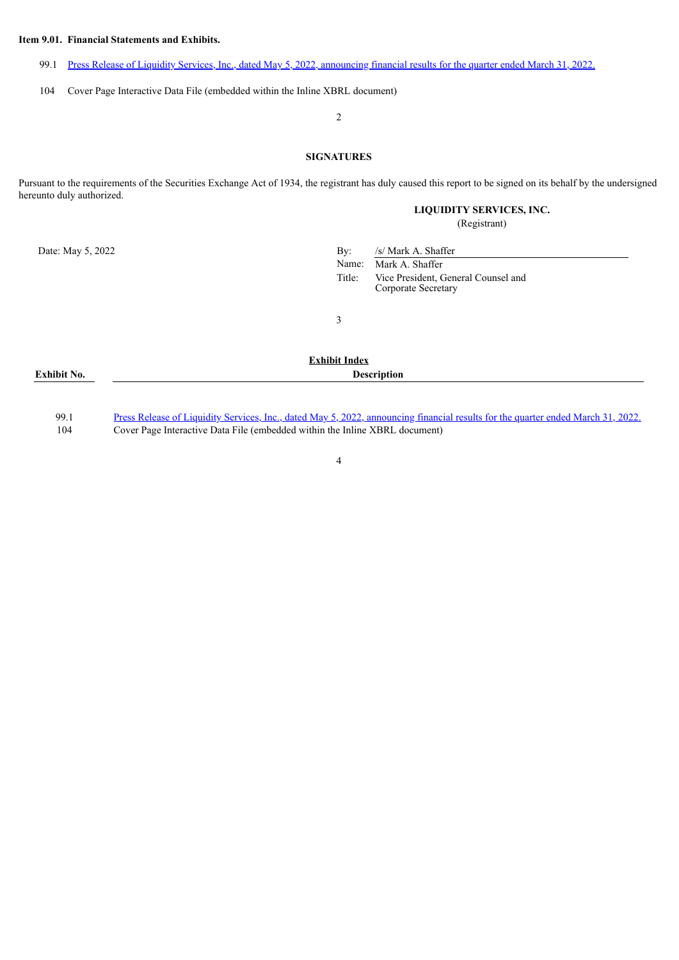### **Item 9.01. Financial Statements and Exhibits.**

Date: May 5, 2022

- 99.1 Press Release of [Liquidity](#page-2-0) Services, Inc., dated [May](#page-2-0) [5,](#page-2-0) [2022,](#page-2-0) [announcing](#page-2-0) financial results for the quarter ended [March](#page-2-0) 31, [2022.](#page-2-0)
- 104 Cover Page Interactive Data File (embedded within the Inline XBRL document)

2

# **SIGNATURES**

Pursuant to the requirements of the Securities Exchange Act of 1934, the registrant has duly caused this report to be signed on its behalf by the undersigned hereunto duly authorized.

# **LIQUIDITY SERVICES, INC.**

(Registrant)

| By:    | /s/ Mark A. Shaffer                                        |
|--------|------------------------------------------------------------|
|        | Name: Mark A. Shaffer                                      |
| Title: | Vice President, General Counsel and<br>Corporate Secretary |
| 3      |                                                            |
|        |                                                            |

|             | <b>Exhibit Index</b>                                                                                                                    |
|-------------|-----------------------------------------------------------------------------------------------------------------------------------------|
| Exhibit No. | <b>Description</b>                                                                                                                      |
|             |                                                                                                                                         |
|             |                                                                                                                                         |
| 99.1        | <u>Press Release of Liquidity Services, Inc., dated May 5, 2022, announcing financial results for the quarter ended March 31, 2022.</u> |
| 104         | Cover Page Interactive Data File (embedded within the Inline XBRL document)                                                             |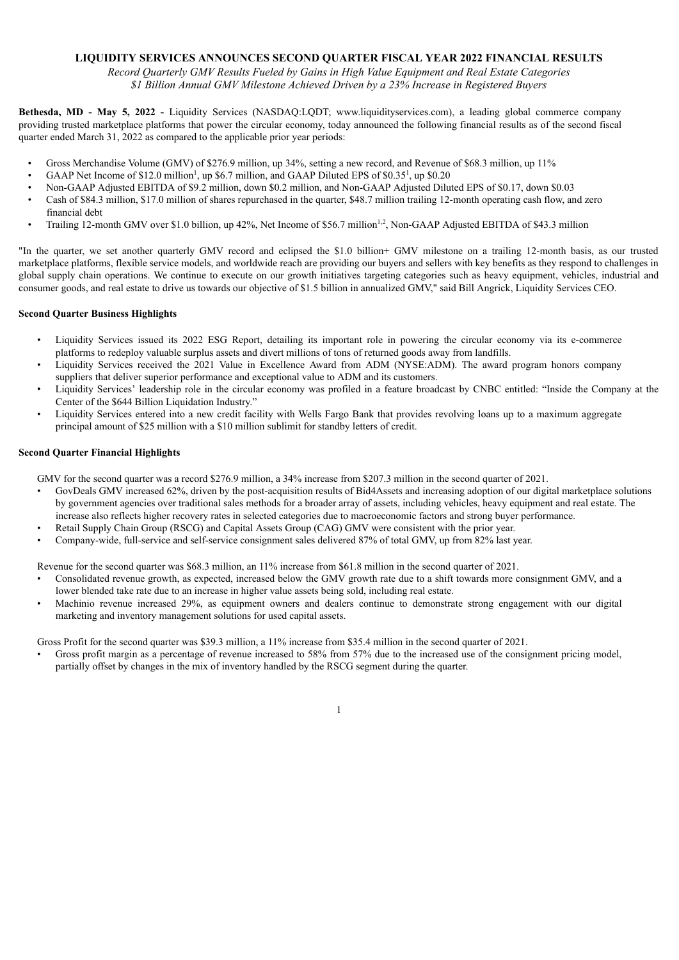# <span id="page-2-0"></span>**LIQUIDITY SERVICES ANNOUNCES SECOND QUARTER FISCAL YEAR 2022 FINANCIAL RESULTS**

*Record Quarterly GMV Results Fueled by Gains in High Value Equipment and Real Estate Categories \$1 Billion Annual GMV Milestone Achieved Driven by a 23% Increase in Registered Buyers*

**Bethesda, MD - May 5, 2022 -** Liquidity Services (NASDAQ:LQDT; www.liquidityservices.com), a leading global commerce company providing trusted marketplace platforms that power the circular economy, today announced the following financial results as of the second fiscal quarter ended March 31, 2022 as compared to the applicable prior year periods:

- Gross Merchandise Volume (GMV) of \$276.9 million, up 34%, setting a new record, and Revenue of \$68.3 million, up 11%
- GAAP Net Income of \$12.0 million<sup>1</sup>, up \$6.7 million, and GAAP Diluted EPS of \$0.35<sup>1</sup>, up \$0.20
- Non-GAAP Adjusted EBITDA of \$9.2 million, down \$0.2 million, and Non-GAAP Adjusted Diluted EPS of \$0.17, down \$0.03
- Cash of \$84.3 million, \$17.0 million of shares repurchased in the quarter, \$48.7 million trailing 12-month operating cash flow, and zero financial debt
- Trailing 12-month GMV over \$1.0 billion, up 42%, Net Income of \$56.7 million<sup>1,2</sup>, Non-GAAP Adjusted EBITDA of \$43.3 million

"In the quarter, we set another quarterly GMV record and eclipsed the \$1.0 billion+ GMV milestone on a trailing 12-month basis, as our trusted marketplace platforms, flexible service models, and worldwide reach are providing our buyers and sellers with key benefits as they respond to challenges in global supply chain operations. We continue to execute on our growth initiatives targeting categories such as heavy equipment, vehicles, industrial and consumer goods, and real estate to drive us towards our objective of \$1.5 billion in annualized GMV," said Bill Angrick, Liquidity Services CEO.

#### **Second Quarter Business Highlights**

- Liquidity Services issued its 2022 ESG Report, detailing its important role in powering the circular economy via its e-commerce platforms to redeploy valuable surplus assets and divert millions of tons of returned goods away from landfills.
- Liquidity Services received the 2021 Value in Excellence Award from ADM (NYSE:ADM). The award program honors company suppliers that deliver superior performance and exceptional value to ADM and its customers.
- Liquidity Services' leadership role in the circular economy was profiled in a feature broadcast by CNBC entitled: "Inside the Company at the Center of the \$644 Billion Liquidation Industry."
- Liquidity Services entered into a new credit facility with Wells Fargo Bank that provides revolving loans up to a maximum aggregate principal amount of \$25 million with a \$10 million sublimit for standby letters of credit.

#### **Second Quarter Financial Highlights**

GMV for the second quarter was a record \$276.9 million, a 34% increase from \$207.3 million in the second quarter of 2021.

- GovDeals GMV increased 62%, driven by the post-acquisition results of Bid4Assets and increasing adoption of our digital marketplace solutions by government agencies over traditional sales methods for a broader array of assets, including vehicles, heavy equipment and real estate. The increase also reflects higher recovery rates in selected categories due to macroeconomic factors and strong buyer performance.
- Retail Supply Chain Group (RSCG) and Capital Assets Group (CAG) GMV were consistent with the prior year.
- Company-wide, full-service and self-service consignment sales delivered 87% of total GMV, up from 82% last year.

Revenue for the second quarter was \$68.3 million, an 11% increase from \$61.8 million in the second quarter of 2021.

- Consolidated revenue growth, as expected, increased below the GMV growth rate due to a shift towards more consignment GMV, and a lower blended take rate due to an increase in higher value assets being sold, including real estate.
- Machinio revenue increased 29%, as equipment owners and dealers continue to demonstrate strong engagement with our digital marketing and inventory management solutions for used capital assets.

Gross Profit for the second quarter was \$39.3 million, a 11% increase from \$35.4 million in the second quarter of 2021.

• Gross profit margin as a percentage of revenue increased to 58% from 57% due to the increased use of the consignment pricing model, partially offset by changes in the mix of inventory handled by the RSCG segment during the quarter.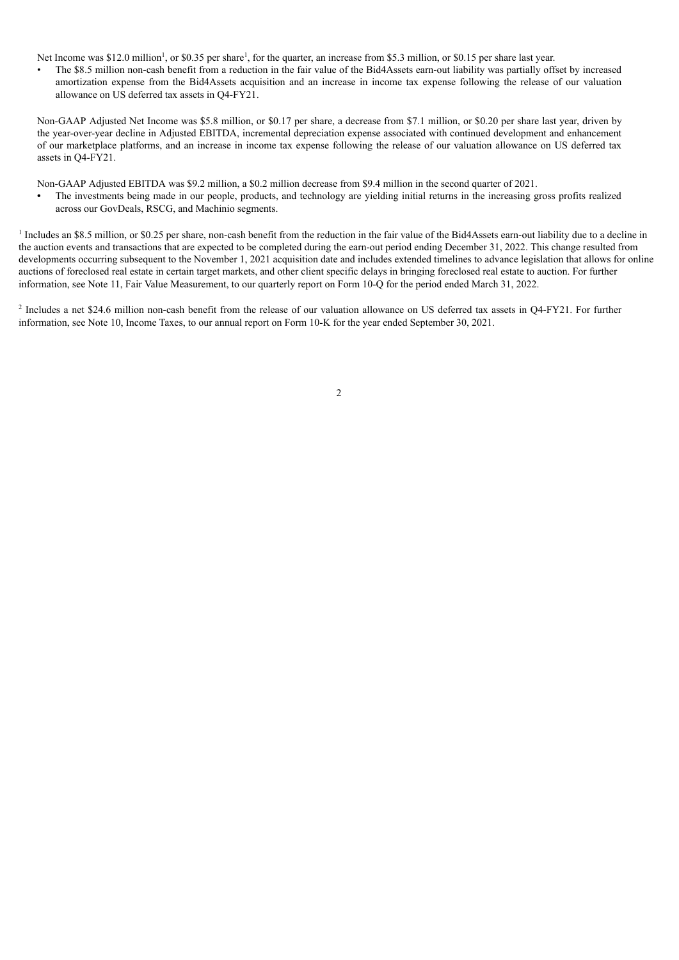Net Income was \$12.0 million<sup>1</sup>, or \$0.35 per share<sup>1</sup>, for the quarter, an increase from \$5.3 million, or \$0.15 per share last year.

• The \$8.5 million non-cash benefit from a reduction in the fair value of the Bid4Assets earn-out liability was partially offset by increased amortization expense from the Bid4Assets acquisition and an increase in income tax expense following the release of our valuation allowance on US deferred tax assets in Q4-FY21.

Non-GAAP Adjusted Net Income was \$5.8 million, or \$0.17 per share, a decrease from \$7.1 million, or \$0.20 per share last year, driven by the year-over-year decline in Adjusted EBITDA, incremental depreciation expense associated with continued development and enhancement of our marketplace platforms, and an increase in income tax expense following the release of our valuation allowance on US deferred tax assets in Q4-FY21.

Non-GAAP Adjusted EBITDA was \$9.2 million, a \$0.2 million decrease from \$9.4 million in the second quarter of 2021.

**•** The investments being made in our people, products, and technology are yielding initial returns in the increasing gross profits realized across our GovDeals, RSCG, and Machinio segments.

<sup>1</sup> Includes an \$8.5 million, or \$0.25 per share, non-cash benefit from the reduction in the fair value of the Bid4Assets earn-out liability due to a decline in the auction events and transactions that are expected to be completed during the earn-out period ending December 31, 2022. This change resulted from developments occurring subsequent to the November 1, 2021 acquisition date and includes extended timelines to advance legislation that allows for online auctions of foreclosed real estate in certain target markets, and other client specific delays in bringing foreclosed real estate to auction. For further information, see Note 11, Fair Value Measurement, to our quarterly report on Form 10-Q for the period ended March 31, 2022.

 $^2$  Includes a net \$24.6 million non-cash benefit from the release of our valuation allowance on US deferred tax assets in Q4-FY21. For further information, see Note 10, Income Taxes, to our annual report on Form 10-K for the year ended September 30, 2021.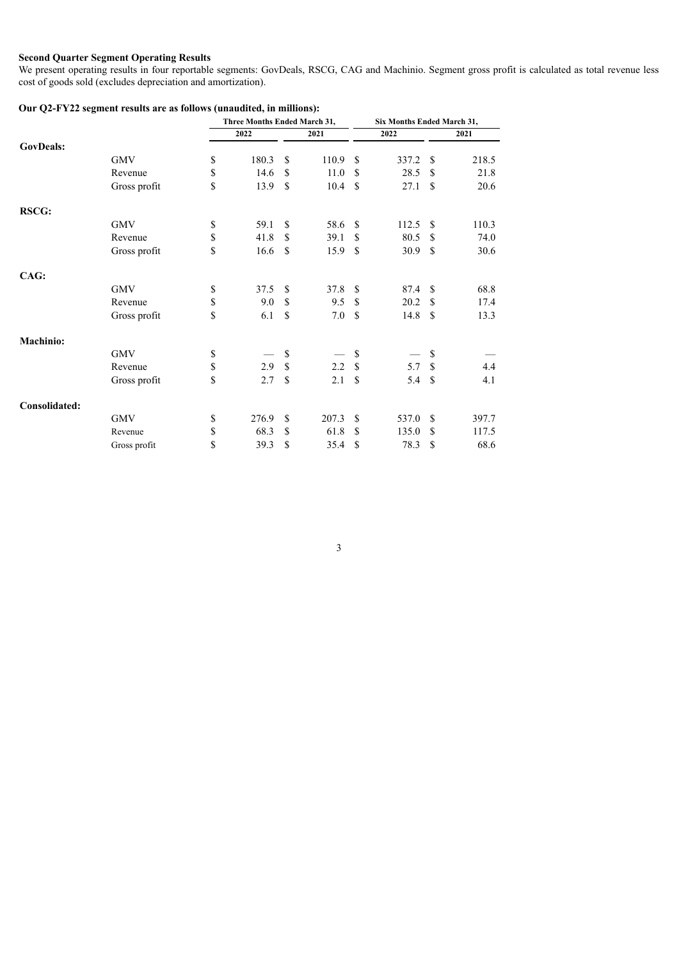# **Second Quarter Segment Operating Results**

We present operating results in four reportable segments: GovDeals, RSCG, CAG and Machinio. Segment gross profit is calculated as total revenue less cost of goods sold (excludes depreciation and amortization).

| 0                |              | Three Months Ended March 31, |               |       | Six Months Ended March 31, |         |               |       |  |  |  |
|------------------|--------------|------------------------------|---------------|-------|----------------------------|---------|---------------|-------|--|--|--|
|                  |              | 2022                         |               | 2021  |                            | 2022    |               | 2021  |  |  |  |
| <b>GovDeals:</b> |              |                              |               |       |                            |         |               |       |  |  |  |
|                  | <b>GMV</b>   | \$<br>180.3                  | <sup>\$</sup> | 110.9 | <sup>\$</sup>              | 337.2   | $\mathcal{S}$ | 218.5 |  |  |  |
|                  | Revenue      | \$<br>14.6                   | <sup>\$</sup> | 11.0  | $\mathcal{S}$              | 28.5    | <sup>\$</sup> | 21.8  |  |  |  |
|                  | Gross profit | \$<br>13.9                   | <sup>\$</sup> | 10.4  | <sup>\$</sup>              | 27.1    | <sup>\$</sup> | 20.6  |  |  |  |
| <b>RSCG:</b>     |              |                              |               |       |                            |         |               |       |  |  |  |
|                  | <b>GMV</b>   | \$<br>59.1                   | <sup>\$</sup> | 58.6  | -\$                        | 112.5   | <sup>\$</sup> | 110.3 |  |  |  |
|                  | Revenue      | \$<br>41.8                   | <sup>\$</sup> | 39.1  | -S                         | 80.5    | <sup>\$</sup> | 74.0  |  |  |  |
|                  | Gross profit | \$<br>16.6                   | $\mathcal{S}$ | 15.9  | -\$                        | 30.9    | <sup>\$</sup> | 30.6  |  |  |  |
| CAG:             |              |                              |               |       |                            |         |               |       |  |  |  |
|                  | <b>GMV</b>   | \$<br>37.5                   | \$.           | 37.8  | - \$                       | 87.4    | <sup>S</sup>  | 68.8  |  |  |  |
|                  | Revenue      | \$<br>9.0                    | $\mathbf S$   | 9.5   | -S                         | 20.2    | <sup>\$</sup> | 17.4  |  |  |  |
|                  | Gross profit | \$<br>6.1                    | <sup>\$</sup> | 7.0   | -\$                        | 14.8    | -S            | 13.3  |  |  |  |
| <b>Machinio:</b> |              |                              |               |       |                            |         |               |       |  |  |  |
|                  | <b>GMV</b>   | \$                           | \$            |       | \$                         |         | \$            |       |  |  |  |
|                  | Revenue      | \$<br>2.9                    | $\mathbf S$   | 2.2   | $\mathbf S$                | 5.7 $$$ |               | 4.4   |  |  |  |
|                  | Gross profit | \$<br>2.7                    | <sup>\$</sup> | 2.1   | -\$                        | 5.4 $$$ |               | 4.1   |  |  |  |
| Consolidated:    |              |                              |               |       |                            |         |               |       |  |  |  |
|                  | <b>GMV</b>   | \$<br>276.9                  | <sup>\$</sup> | 207.3 | -S                         | 537.0   | <sup>\$</sup> | 397.7 |  |  |  |
|                  | Revenue      | \$<br>68.3                   | \$            | 61.8  | -S                         | 135.0   | \$            | 117.5 |  |  |  |
|                  | Gross profit | \$<br>39.3                   | \$            | 35.4  | S                          | 78.3    | \$            | 68.6  |  |  |  |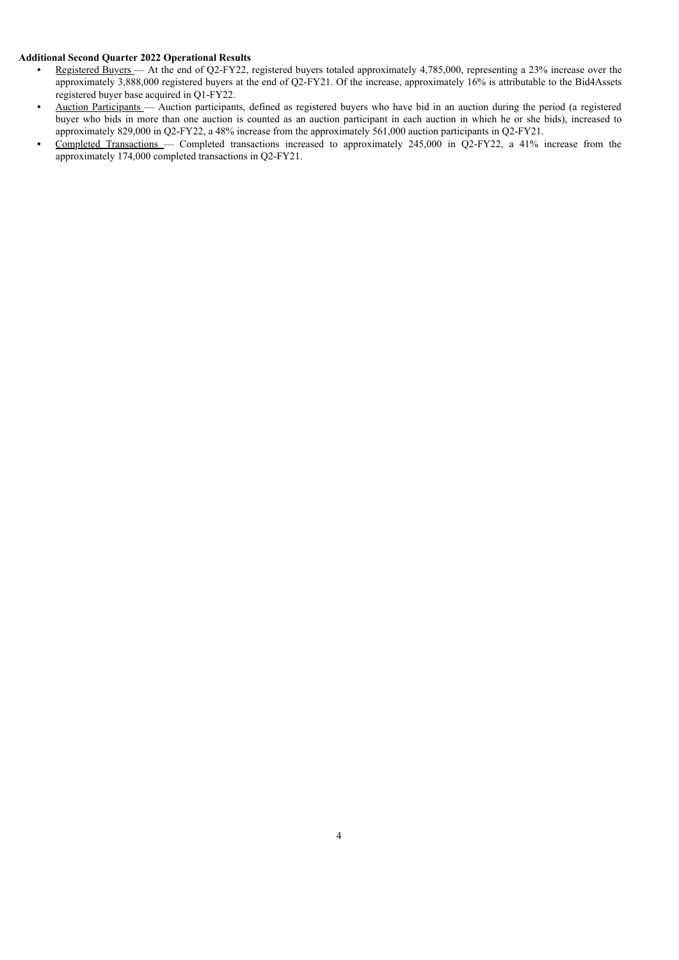## **Additional Second Quarter 2022 Operational Results**

- Registered Buyers At the end of Q2-FY22, registered buyers totaled approximately 4,785,000, representing a 23% increase over the approximately 3,888,000 registered buyers at the end of Q2-FY21. Of the increase, approximately 16% is attributable to the Bid4Assets registered buyer base acquired in Q1-FY22.
- **•** Auction Participants Auction participants, defined as registered buyers who have bid in an auction during the period (a registered buyer who bids in more than one auction is counted as an auction participant in each auction in which he or she bids), increased to approximately 829,000 in Q2-FY22, a 48% increase from the approximately 561,000 auction participants in Q2-FY21.
- Completed Transactions Completed transactions increased to approximately 245,000 in Q2-FY22, a 41% increase from the approximately 174,000 completed transactions in Q2-FY21.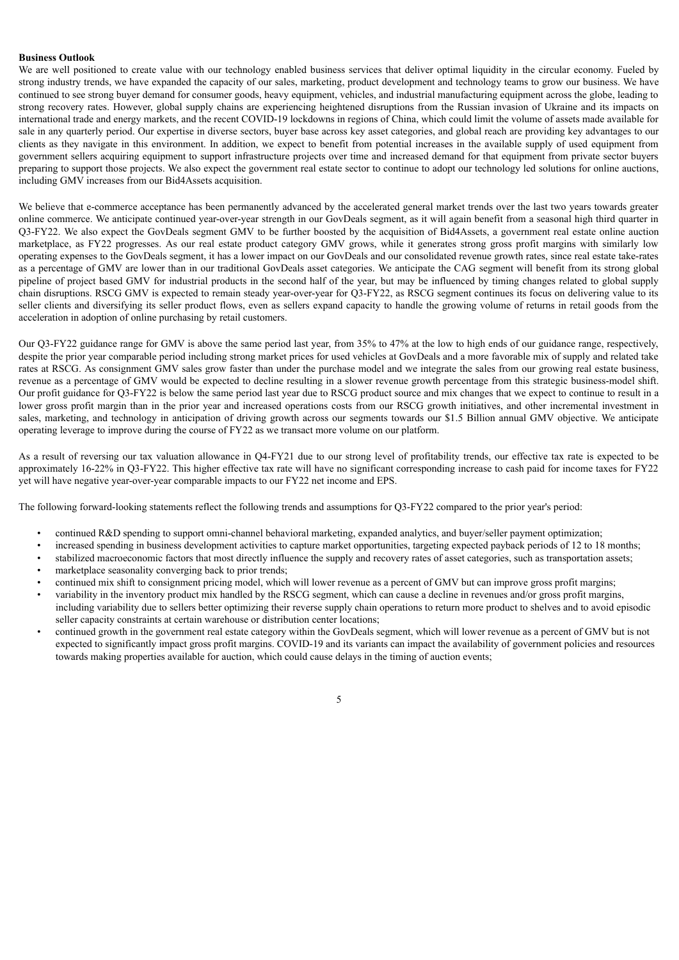#### **Business Outlook**

We are well positioned to create value with our technology enabled business services that deliver optimal liquidity in the circular economy. Fueled by strong industry trends, we have expanded the capacity of our sales, marketing, product development and technology teams to grow our business. We have continued to see strong buyer demand for consumer goods, heavy equipment, vehicles, and industrial manufacturing equipment across the globe, leading to strong recovery rates. However, global supply chains are experiencing heightened disruptions from the Russian invasion of Ukraine and its impacts on international trade and energy markets, and the recent COVID-19 lockdowns in regions of China, which could limit the volume of assets made available for sale in any quarterly period. Our expertise in diverse sectors, buyer base across key asset categories, and global reach are providing key advantages to our clients as they navigate in this environment. In addition, we expect to benefit from potential increases in the available supply of used equipment from government sellers acquiring equipment to support infrastructure projects over time and increased demand for that equipment from private sector buyers preparing to support those projects. We also expect the government real estate sector to continue to adopt our technology led solutions for online auctions, including GMV increases from our Bid4Assets acquisition.

We believe that e-commerce acceptance has been permanently advanced by the accelerated general market trends over the last two years towards greater online commerce. We anticipate continued year-over-year strength in our GovDeals segment, as it will again benefit from a seasonal high third quarter in Q3-FY22. We also expect the GovDeals segment GMV to be further boosted by the acquisition of Bid4Assets, a government real estate online auction marketplace, as FY22 progresses. As our real estate product category GMV grows, while it generates strong gross profit margins with similarly low operating expenses to the GovDeals segment, it has a lower impact on our GovDeals and our consolidated revenue growth rates, since real estate take-rates as a percentage of GMV are lower than in our traditional GovDeals asset categories. We anticipate the CAG segment will benefit from its strong global pipeline of project based GMV for industrial products in the second half of the year, but may be influenced by timing changes related to global supply chain disruptions. RSCG GMV is expected to remain steady year-over-year for Q3-FY22, as RSCG segment continues its focus on delivering value to its seller clients and diversifying its seller product flows, even as sellers expand capacity to handle the growing volume of returns in retail goods from the acceleration in adoption of online purchasing by retail customers.

Our Q3-FY22 guidance range for GMV is above the same period last year, from 35% to 47% at the low to high ends of our guidance range, respectively, despite the prior year comparable period including strong market prices for used vehicles at GovDeals and a more favorable mix of supply and related take rates at RSCG. As consignment GMV sales grow faster than under the purchase model and we integrate the sales from our growing real estate business, revenue as a percentage of GMV would be expected to decline resulting in a slower revenue growth percentage from this strategic business-model shift. Our profit guidance for Q3-FY22 is below the same period last year due to RSCG product source and mix changes that we expect to continue to result in a lower gross profit margin than in the prior year and increased operations costs from our RSCG growth initiatives, and other incremental investment in sales, marketing, and technology in anticipation of driving growth across our segments towards our \$1.5 Billion annual GMV objective. We anticipate operating leverage to improve during the course of FY22 as we transact more volume on our platform.

As a result of reversing our tax valuation allowance in Q4-FY21 due to our strong level of profitability trends, our effective tax rate is expected to be approximately 16-22% in Q3-FY22. This higher effective tax rate will have no significant corresponding increase to cash paid for income taxes for FY22 yet will have negative year-over-year comparable impacts to our FY22 net income and EPS.

The following forward-looking statements reflect the following trends and assumptions for Q3-FY22 compared to the prior year's period:

- continued R&D spending to support omni-channel behavioral marketing, expanded analytics, and buyer/seller payment optimization;
- increased spending in business development activities to capture market opportunities, targeting expected payback periods of 12 to 18 months;
- stabilized macroeconomic factors that most directly influence the supply and recovery rates of asset categories, such as transportation assets;
- marketplace seasonality converging back to prior trends;
- continued mix shift to consignment pricing model, which will lower revenue as a percent of GMV but can improve gross profit margins;
- variability in the inventory product mix handled by the RSCG segment, which can cause a decline in revenues and/or gross profit margins, including variability due to sellers better optimizing their reverse supply chain operations to return more product to shelves and to avoid episodic seller capacity constraints at certain warehouse or distribution center locations;
- continued growth in the government real estate category within the GovDeals segment, which will lower revenue as a percent of GMV but is not expected to significantly impact gross profit margins. COVID-19 and its variants can impact the availability of government policies and resources towards making properties available for auction, which could cause delays in the timing of auction events;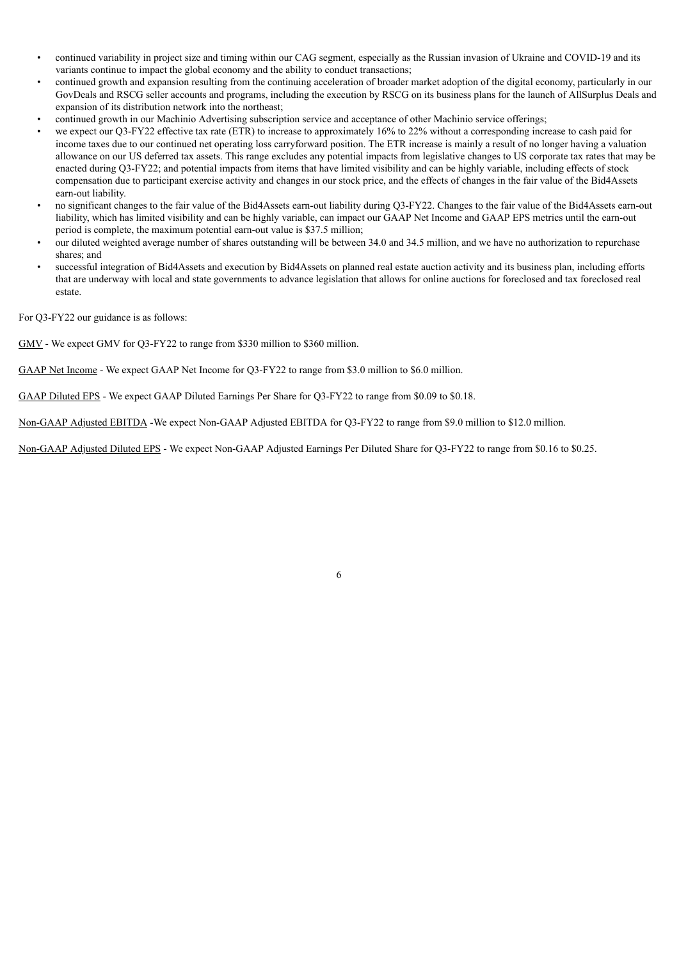- continued variability in project size and timing within our CAG segment, especially as the Russian invasion of Ukraine and COVID-19 and its variants continue to impact the global economy and the ability to conduct transactions;
- continued growth and expansion resulting from the continuing acceleration of broader market adoption of the digital economy, particularly in our GovDeals and RSCG seller accounts and programs, including the execution by RSCG on its business plans for the launch of AllSurplus Deals and expansion of its distribution network into the northeast;
- continued growth in our Machinio Advertising subscription service and acceptance of other Machinio service offerings;
- we expect our Q3-FY22 effective tax rate (ETR) to increase to approximately 16% to 22% without a corresponding increase to cash paid for income taxes due to our continued net operating loss carryforward position. The ETR increase is mainly a result of no longer having a valuation allowance on our US deferred tax assets. This range excludes any potential impacts from legislative changes to US corporate tax rates that may be enacted during Q3-FY22; and potential impacts from items that have limited visibility and can be highly variable, including effects of stock compensation due to participant exercise activity and changes in our stock price, and the effects of changes in the fair value of the Bid4Assets earn-out liability.
- no significant changes to the fair value of the Bid4Assets earn-out liability during Q3-FY22. Changes to the fair value of the Bid4Assets earn-out liability, which has limited visibility and can be highly variable, can impact our GAAP Net Income and GAAP EPS metrics until the earn-out period is complete, the maximum potential earn-out value is \$37.5 million;
- our diluted weighted average number of shares outstanding will be between 34.0 and 34.5 million, and we have no authorization to repurchase shares; and
- successful integration of Bid4Assets and execution by Bid4Assets on planned real estate auction activity and its business plan, including efforts that are underway with local and state governments to advance legislation that allows for online auctions for foreclosed and tax foreclosed real estate.

For Q3-FY22 our guidance is as follows:

GMV - We expect GMV for Q3-FY22 to range from \$330 million to \$360 million.

GAAP Net Income - We expect GAAP Net Income for Q3-FY22 to range from \$3.0 million to \$6.0 million.

GAAP Diluted EPS - We expect GAAP Diluted Earnings Per Share for Q3-FY22 to range from \$0.09 to \$0.18.

Non-GAAP Adjusted EBITDA -We expect Non-GAAP Adjusted EBITDA for Q3-FY22 to range from \$9.0 million to \$12.0 million.

Non-GAAP Adjusted Diluted EPS - We expect Non-GAAP Adjusted Earnings Per Diluted Share for Q3-FY22 to range from \$0.16 to \$0.25.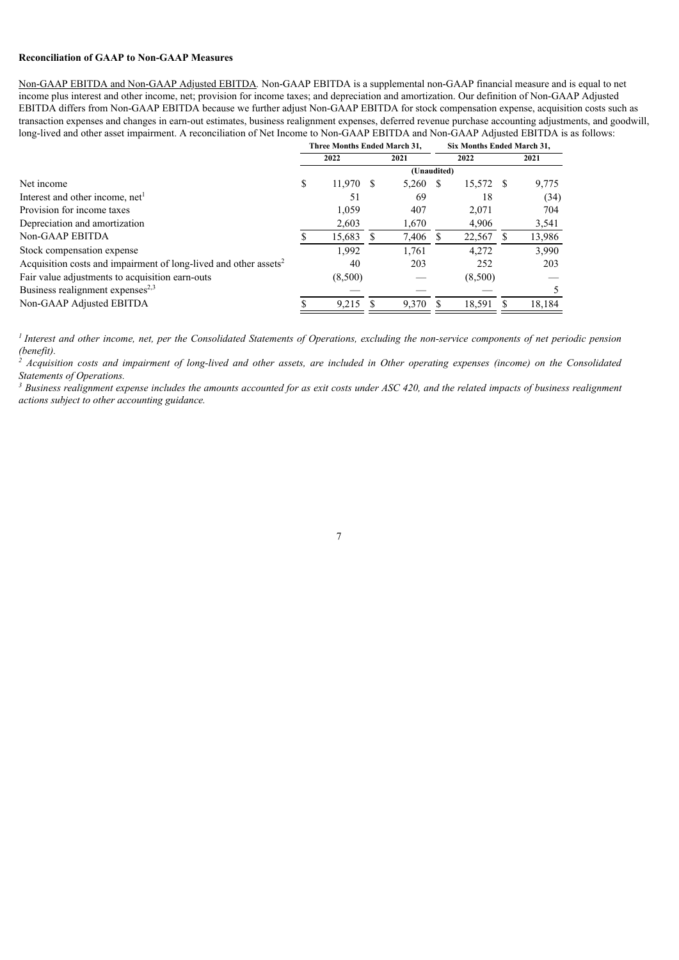#### **Reconciliation of GAAP to Non-GAAP Measures**

Non-GAAP EBITDA and Non-GAAP Adjusted EBITDA*.* Non-GAAP EBITDA is a supplemental non-GAAP financial measure and is equal to net income plus interest and other income, net; provision for income taxes; and depreciation and amortization. Our definition of Non-GAAP Adjusted EBITDA differs from Non-GAAP EBITDA because we further adjust Non-GAAP EBITDA for stock compensation expense, acquisition costs such as transaction expenses and changes in earn-out estimates, business realignment expenses, deferred revenue purchase accounting adjustments, and goodwill, long-lived and other asset impairment. A reconciliation of Net Income to Non-GAAP EBITDA and Non-GAAP Adjusted EBITDA is as follows:

|                                                                              | Three Months Ended March 31, |         |     |             | Six Months Ended March 31. |           |  |        |
|------------------------------------------------------------------------------|------------------------------|---------|-----|-------------|----------------------------|-----------|--|--------|
|                                                                              |                              | 2022    |     | 2021        |                            | 2022      |  | 2021   |
|                                                                              |                              |         |     | (Unaudited) |                            |           |  |        |
| Net income                                                                   | S                            | 11.970  | - S | $5,260$ \$  |                            | 15,572 \$ |  | 9,775  |
| Interest and other income, net <sup>1</sup>                                  |                              | 51      |     | 69          |                            | 18        |  | (34)   |
| Provision for income taxes                                                   |                              | 1,059   |     | 407         |                            | 2,071     |  | 704    |
| Depreciation and amortization                                                |                              | 2,603   |     | 1,670       |                            | 4,906     |  | 3,541  |
| Non-GAAP EBITDA                                                              |                              | 15,683  |     | 7,406       |                            | 22,567    |  | 13,986 |
| Stock compensation expense                                                   |                              | 1,992   |     | 1,761       |                            | 4,272     |  | 3,990  |
| Acquisition costs and impairment of long-lived and other assets <sup>2</sup> |                              | 40      |     | 203         |                            | 252       |  | 203    |
| Fair value adjustments to acquisition earn-outs                              |                              | (8,500) |     |             |                            | (8,500)   |  |        |
| Business realignment expenses $^{2,3}$                                       |                              |         |     |             |                            |           |  |        |
| Non-GAAP Adjusted EBITDA                                                     |                              | 9,215   |     | 9,370       |                            | 18,591    |  | 18,184 |

 $<sup>1</sup>$  Interest and other income, net, per the Consolidated Statements of Operations, excluding the non-service components of net periodic pension</sup> *(benefit).*

 $^2$  Acquisition costs and impairment of long-lived and other assets, are included in Other operating expenses (income) on the Consolidated *Statements of Operations.*

 $3$  Business realignment expense includes the amounts accounted for as exit costs under ASC 420, and the related impacts of business realignment *actions subject to other accounting guidance.*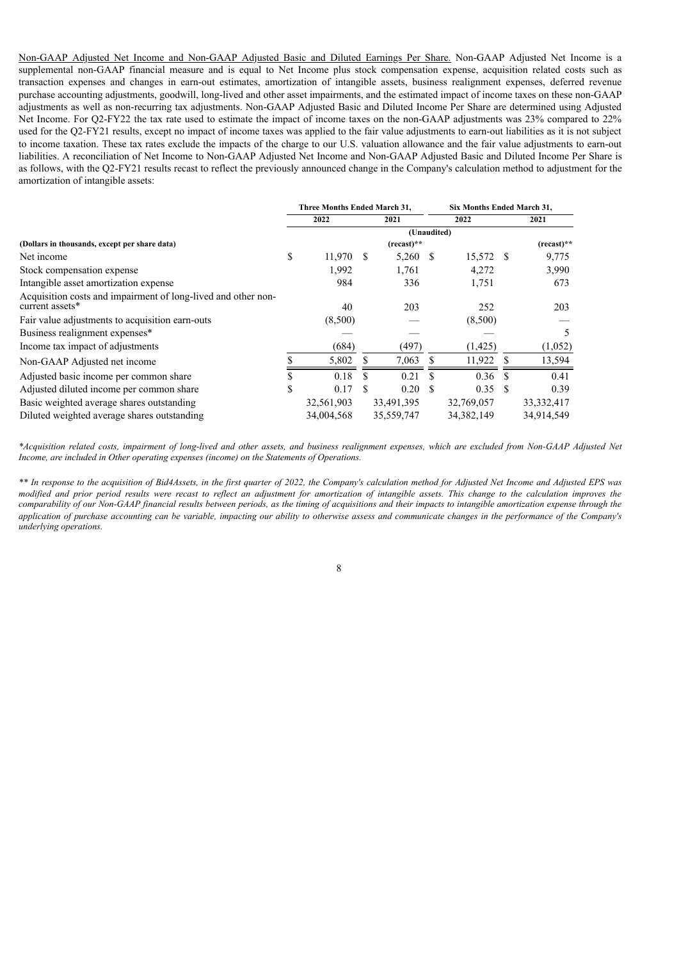Non-GAAP Adjusted Net Income and Non-GAAP Adjusted Basic and Diluted Earnings Per Share. Non-GAAP Adjusted Net Income is a supplemental non-GAAP financial measure and is equal to Net Income plus stock compensation expense, acquisition related costs such as transaction expenses and changes in earn-out estimates, amortization of intangible assets, business realignment expenses, deferred revenue purchase accounting adjustments, goodwill, long-lived and other asset impairments, and the estimated impact of income taxes on these non-GAAP adjustments as well as non-recurring tax adjustments. Non-GAAP Adjusted Basic and Diluted Income Per Share are determined using Adjusted Net Income. For Q2-FY22 the tax rate used to estimate the impact of income taxes on the non-GAAP adjustments was 23% compared to 22% used for the Q2-FY21 results, except no impact of income taxes was applied to the fair value adjustments to earn-out liabilities as it is not subject to income taxation. These tax rates exclude the impacts of the charge to our U.S. valuation allowance and the fair value adjustments to earn-out liabilities. A reconciliation of Net Income to Non-GAAP Adjusted Net Income and Non-GAAP Adjusted Basic and Diluted Income Per Share is as follows, with the Q2-FY21 results recast to reflect the previously announced change in the Company's calculation method to adjustment for the amortization of intangible assets:

|                                                                                  | Three Months Ended March 31, |               |              |                    | Six Months Ended March 31, |     |              |
|----------------------------------------------------------------------------------|------------------------------|---------------|--------------|--------------------|----------------------------|-----|--------------|
|                                                                                  | 2022                         |               | 2021         |                    | 2022                       |     | 2021         |
|                                                                                  |                              |               | (Unaudited)  |                    |                            |     |              |
| (Dollars in thousands, except per share data)                                    |                              |               | $(recast)**$ |                    |                            |     | $(recast)**$ |
| Net income                                                                       | \$<br>11.970                 |               | 5,260        | -S                 | 15,572                     | - S | 9,775        |
| Stock compensation expense                                                       | 1,992                        |               | 1,761        |                    | 4,272                      |     | 3,990        |
| Intangible asset amortization expense                                            | 984                          |               | 336          |                    | 1,751                      |     | 673          |
| Acquisition costs and impairment of long-lived and other non-<br>current assets* | 40                           |               | 203          |                    | 252                        |     | 203          |
| Fair value adjustments to acquisition earn-outs                                  | (8,500)                      |               |              |                    | (8,500)                    |     |              |
| Business realignment expenses*                                                   |                              |               |              |                    |                            |     |              |
| Income tax impact of adjustments                                                 | (684)                        |               | (497)        |                    | (1, 425)                   |     | (1,052)      |
| Non-GAAP Adjusted net income                                                     | 5,802                        |               | 7,063        |                    | 11,922                     |     | 13,594       |
| Adjusted basic income per common share                                           | 0.18                         | $\mathcal{S}$ | 0.21         | $\mathbf{\hat{s}}$ | 0.36                       | -S  | 0.41         |
| Adjusted diluted income per common share                                         | \$<br>0.17                   | -S            | 0.20         | -S                 | 0.35                       | -8  | 0.39         |
| Basic weighted average shares outstanding                                        | 32,561,903                   |               | 33,491,395   |                    | 32,769,057                 |     | 33, 332, 417 |
| Diluted weighted average shares outstanding                                      | 34,004,568                   |               | 35,559,747   |                    | 34, 382, 149               |     | 34,914,549   |

*\*Acquisition related costs, impairment of long-lived and other assets, and business realignment expenses, which are excluded from Non-GAAP Adjusted Net Income, are included in Other operating expenses (income) on the Statements of Operations.*

*\*\* In response to the acquisition of Bid4Assets, in the first quarter of 2022, the Company's calculation method for Adjusted Net Income and Adjusted EPS was modified and prior period results were recast to reflect an adjustment for amortization of intangible assets. This change to the calculation improves the* comparability of our Non-GAAP financial results between periods, as the timing of acquisitions and their *impacts to intangible amortization expense through the application of purchase accounting can be variable, impacting our ability to otherwise assess and communicate changes in the performance of the Company's underlying operations.*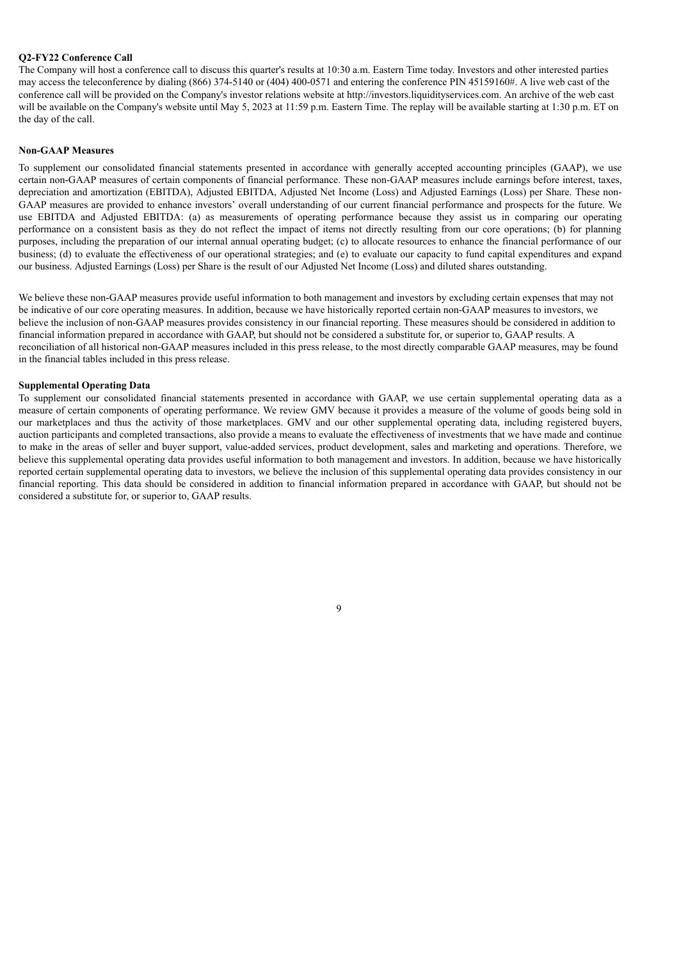#### **Q2-FY22 Conference Call**

The Company will host a conference call to discuss this quarter's results at 10:30 a.m. Eastern Time today. Investors and other interested parties may access the teleconference by dialing (866) 374-5140 or (404) 400-0571 and entering the conference PIN 45159160#. A live web cast of the conference call will be provided on the Company's investor relations website at http://investors.liquidityservices.com. An archive of the web cast will be available on the Company's website until May 5, 2023 at 11:59 p.m. Eastern Time. The replay will be available starting at 1:30 p.m. ET on the day of the call.

#### **Non-GAAP Measures**

To supplement our consolidated financial statements presented in accordance with generally accepted accounting principles (GAAP), we use certain non-GAAP measures of certain components of financial performance. These non-GAAP measures include earnings before interest, taxes, depreciation and amortization (EBITDA), Adjusted EBITDA, Adjusted Net Income (Loss) and Adjusted Earnings (Loss) per Share. These non-GAAP measures are provided to enhance investors' overall understanding of our current financial performance and prospects for the future. We use EBITDA and Adjusted EBITDA: (a) as measurements of operating performance because they assist us in comparing our operating performance on a consistent basis as they do not reflect the impact of items not directly resulting from our core operations; (b) for planning purposes, including the preparation of our internal annual operating budget; (c) to allocate resources to enhance the financial performance of our business; (d) to evaluate the effectiveness of our operational strategies; and (e) to evaluate our capacity to fund capital expenditures and expand our business. Adjusted Earnings (Loss) per Share is the result of our Adjusted Net Income (Loss) and diluted shares outstanding.

We believe these non-GAAP measures provide useful information to both management and investors by excluding certain expenses that may not be indicative of our core operating measures. In addition, because we have historically reported certain non-GAAP measures to investors, we believe the inclusion of non-GAAP measures provides consistency in our financial reporting. These measures should be considered in addition to financial information prepared in accordance with GAAP, but should not be considered a substitute for, or superior to, GAAP results. A reconciliation of all historical non-GAAP measures included in this press release, to the most directly comparable GAAP measures, may be found in the financial tables included in this press release.

#### **Supplemental Operating Data**

To supplement our consolidated financial statements presented in accordance with GAAP, we use certain supplemental operating data as a measure of certain components of operating performance. We review GMV because it provides a measure of the volume of goods being sold in our marketplaces and thus the activity of those marketplaces. GMV and our other supplemental operating data, including registered buyers, auction participants and completed transactions, also provide a means to evaluate the effectiveness of investments that we have made and continue to make in the areas of seller and buyer support, value-added services, product development, sales and marketing and operations. Therefore, we believe this supplemental operating data provides useful information to both management and investors. In addition, because we have historically reported certain supplemental operating data to investors, we believe the inclusion of this supplemental operating data provides consistency in our financial reporting. This data should be considered in addition to financial information prepared in accordance with GAAP, but should not be considered a substitute for, or superior to, GAAP results.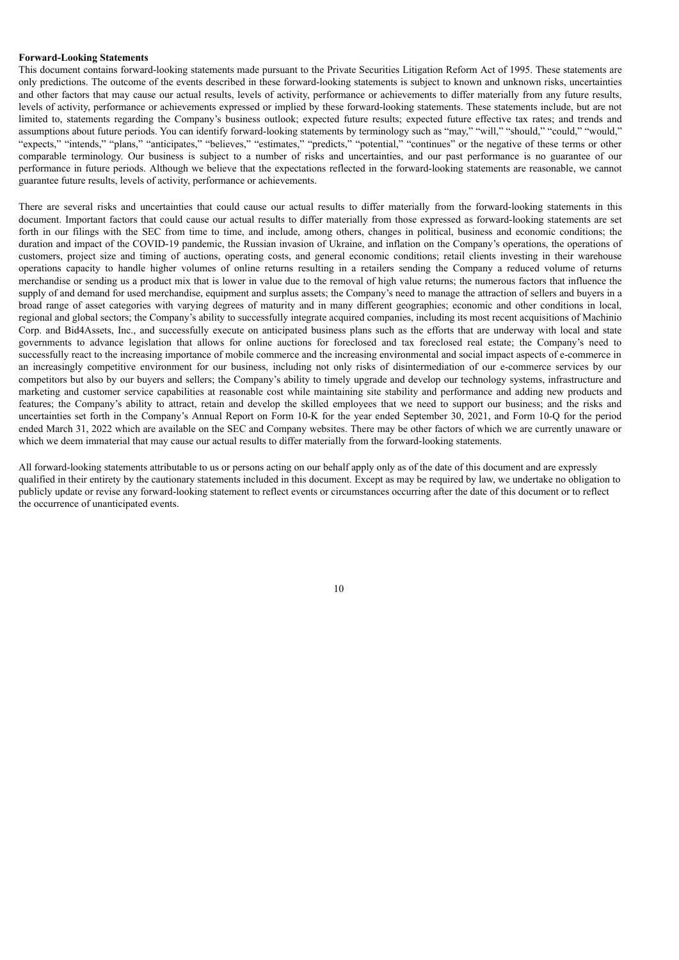#### **Forward-Looking Statements**

This document contains forward-looking statements made pursuant to the Private Securities Litigation Reform Act of 1995. These statements are only predictions. The outcome of the events described in these forward-looking statements is subject to known and unknown risks, uncertainties and other factors that may cause our actual results, levels of activity, performance or achievements to differ materially from any future results, levels of activity, performance or achievements expressed or implied by these forward-looking statements. These statements include, but are not limited to, statements regarding the Company's business outlook; expected future results; expected future effective tax rates; and trends and assumptions about future periods. You can identify forward-looking statements by terminology such as "may," "will," "should," "could," "would," "expects," "intends," "plans," "anticipates," "believes," "estimates," "predicts," "potential," "continues" or the negative of these terms or other comparable terminology. Our business is subject to a number of risks and uncertainties, and our past performance is no guarantee of our performance in future periods. Although we believe that the expectations reflected in the forward-looking statements are reasonable, we cannot guarantee future results, levels of activity, performance or achievements.

There are several risks and uncertainties that could cause our actual results to differ materially from the forward-looking statements in this document. Important factors that could cause our actual results to differ materially from those expressed as forward-looking statements are set forth in our filings with the SEC from time to time, and include, among others, changes in political, business and economic conditions; the duration and impact of the COVID-19 pandemic, the Russian invasion of Ukraine, and inflation on the Company's operations, the operations of customers, project size and timing of auctions, operating costs, and general economic conditions; retail clients investing in their warehouse operations capacity to handle higher volumes of online returns resulting in a retailers sending the Company a reduced volume of returns merchandise or sending us a product mix that is lower in value due to the removal of high value returns; the numerous factors that influence the supply of and demand for used merchandise, equipment and surplus assets; the Company's need to manage the attraction of sellers and buyers in a broad range of asset categories with varying degrees of maturity and in many different geographies; economic and other conditions in local, regional and global sectors; the Company's ability to successfully integrate acquired companies, including its most recent acquisitions of Machinio Corp. and Bid4Assets, Inc., and successfully execute on anticipated business plans such as the efforts that are underway with local and state governments to advance legislation that allows for online auctions for foreclosed and tax foreclosed real estate; the Company's need to successfully react to the increasing importance of mobile commerce and the increasing environmental and social impact aspects of e-commerce in an increasingly competitive environment for our business, including not only risks of disintermediation of our e-commerce services by our competitors but also by our buyers and sellers; the Company's ability to timely upgrade and develop our technology systems, infrastructure and marketing and customer service capabilities at reasonable cost while maintaining site stability and performance and adding new products and features; the Company's ability to attract, retain and develop the skilled employees that we need to support our business; and the risks and uncertainties set forth in the Company's Annual Report on Form 10-K for the year ended September 30, 2021, and Form 10-Q for the period ended March 31, 2022 which are available on the SEC and Company websites. There may be other factors of which we are currently unaware or which we deem immaterial that may cause our actual results to differ materially from the forward-looking statements.

All forward-looking statements attributable to us or persons acting on our behalf apply only as of the date of this document and are expressly qualified in their entirety by the cautionary statements included in this document. Except as may be required by law, we undertake no obligation to publicly update or revise any forward-looking statement to reflect events or circumstances occurring after the date of this document or to reflect the occurrence of unanticipated events.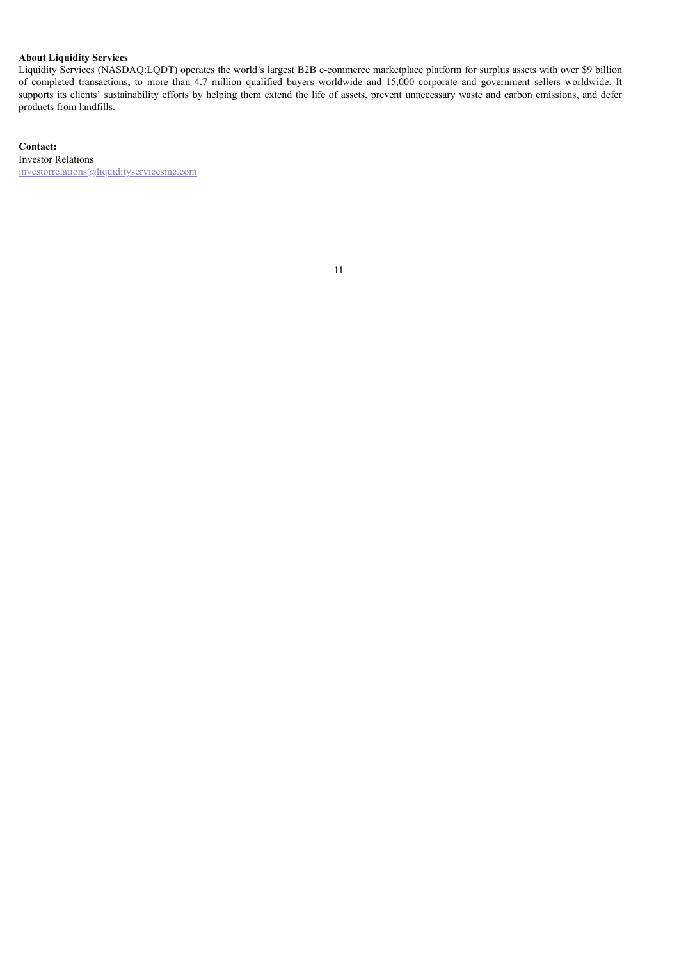# **About Liquidity Services**

Liquidity Services (NASDAQ:LQDT) operates the world's largest B2B e-commerce marketplace platform for surplus assets with over \$9 billion of completed transactions, to more than 4.7 million qualified buyers worldwide and 15,000 corporate and government sellers worldwide. It supports its clients' sustainability efforts by helping them extend the life of assets, prevent unnecessary waste and carbon emissions, and defer products from landfills.

**Contact:** Investor Relations investorrelations@liquidityservicesinc.com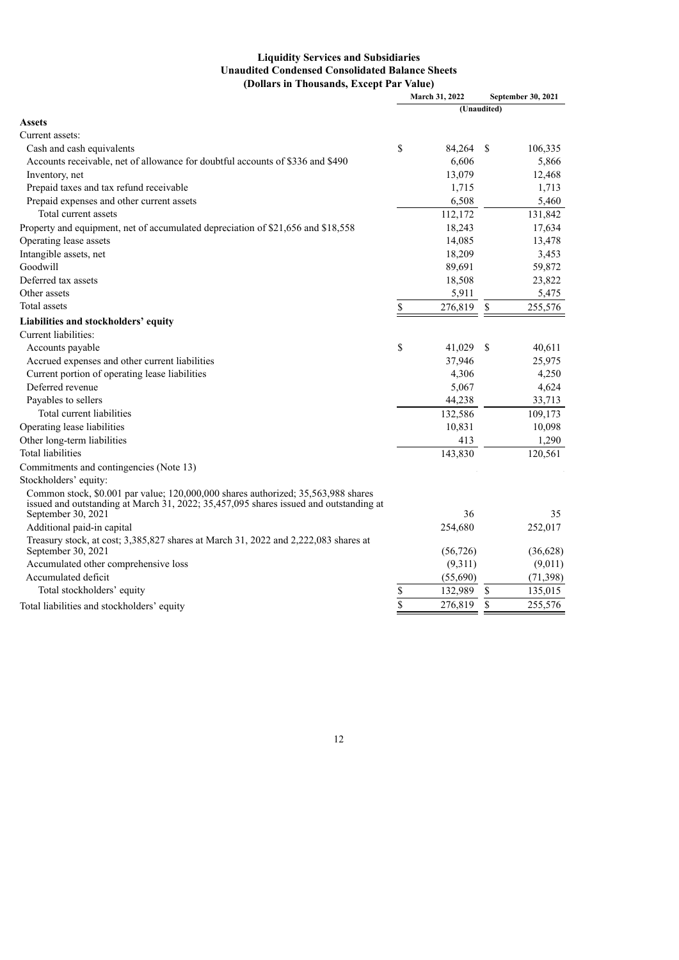# **Liquidity Services and Subsidiaries Unaudited Condensed Consolidated Balance Sheets (Dollars in Thousands, Except Par Value)**

|                                                                                                                                                                            | March 31, 2022  |           |             | September 30, 2021 |  |  |
|----------------------------------------------------------------------------------------------------------------------------------------------------------------------------|-----------------|-----------|-------------|--------------------|--|--|
|                                                                                                                                                                            |                 |           | (Unaudited) |                    |  |  |
| Assets                                                                                                                                                                     |                 |           |             |                    |  |  |
| Current assets:                                                                                                                                                            |                 |           |             |                    |  |  |
| Cash and cash equivalents                                                                                                                                                  | \$              | 84,264    | -S          | 106,335            |  |  |
| Accounts receivable, net of allowance for doubtful accounts of \$336 and \$490                                                                                             |                 | 6,606     |             | 5,866              |  |  |
| Inventory, net                                                                                                                                                             |                 | 13,079    |             | 12,468             |  |  |
| Prepaid taxes and tax refund receivable                                                                                                                                    |                 | 1,715     |             | 1,713              |  |  |
| Prepaid expenses and other current assets                                                                                                                                  |                 | 6,508     |             | 5,460              |  |  |
| Total current assets                                                                                                                                                       |                 | 112,172   |             | 131,842            |  |  |
| Property and equipment, net of accumulated depreciation of \$21,656 and \$18,558                                                                                           |                 | 18,243    |             | 17,634             |  |  |
| Operating lease assets                                                                                                                                                     |                 | 14,085    |             | 13,478             |  |  |
| Intangible assets, net                                                                                                                                                     |                 | 18,209    |             | 3,453              |  |  |
| Goodwill                                                                                                                                                                   |                 | 89,691    |             | 59,872             |  |  |
| Deferred tax assets                                                                                                                                                        |                 | 18,508    |             | 23,822             |  |  |
| Other assets                                                                                                                                                               |                 | 5,911     |             | 5,475              |  |  |
| <b>Total</b> assets                                                                                                                                                        | \$              | 276,819   | \$          | 255,576            |  |  |
| Liabilities and stockholders' equity                                                                                                                                       |                 |           |             |                    |  |  |
| Current liabilities:                                                                                                                                                       |                 |           |             |                    |  |  |
| Accounts payable                                                                                                                                                           | \$              | 41,029    | -S          | 40,611             |  |  |
| Accrued expenses and other current liabilities                                                                                                                             |                 | 37,946    |             | 25,975             |  |  |
| Current portion of operating lease liabilities                                                                                                                             |                 | 4,306     |             | 4,250              |  |  |
| Deferred revenue                                                                                                                                                           |                 | 5,067     |             | 4,624              |  |  |
| Payables to sellers                                                                                                                                                        |                 | 44,238    |             | 33,713             |  |  |
| Total current liabilities                                                                                                                                                  |                 | 132,586   |             | 109,173            |  |  |
| Operating lease liabilities                                                                                                                                                |                 | 10,831    |             | 10,098             |  |  |
| Other long-term liabilities                                                                                                                                                |                 | 413       |             | 1,290              |  |  |
| Total liabilities                                                                                                                                                          |                 | 143,830   |             | 120,561            |  |  |
| Commitments and contingencies (Note 13)                                                                                                                                    |                 |           |             |                    |  |  |
| Stockholders' equity:                                                                                                                                                      |                 |           |             |                    |  |  |
| Common stock, \$0.001 par value; 120,000,000 shares authorized; 35,563,988 shares<br>issued and outstanding at March 31, 2022; 35,457,095 shares issued and outstanding at |                 |           |             |                    |  |  |
| September 30, 2021                                                                                                                                                         |                 | 36        |             | 35                 |  |  |
| Additional paid-in capital                                                                                                                                                 |                 | 254,680   |             | 252,017            |  |  |
| Treasury stock, at cost; 3,385,827 shares at March 31, 2022 and 2,222,083 shares at<br>September 30, 2021                                                                  |                 | (56, 726) |             | (36,628)           |  |  |
| Accumulated other comprehensive loss                                                                                                                                       |                 | (9,311)   |             | (9,011)            |  |  |
| Accumulated deficit                                                                                                                                                        |                 | (55,690)  |             | (71, 398)          |  |  |
| Total stockholders' equity                                                                                                                                                 |                 | 132,989   | \$          | 135,015            |  |  |
| Total liabilities and stockholders' equity                                                                                                                                 | $\frac{\$}{\$}$ | 276,819   | \$          | 255,576            |  |  |
|                                                                                                                                                                            |                 |           |             |                    |  |  |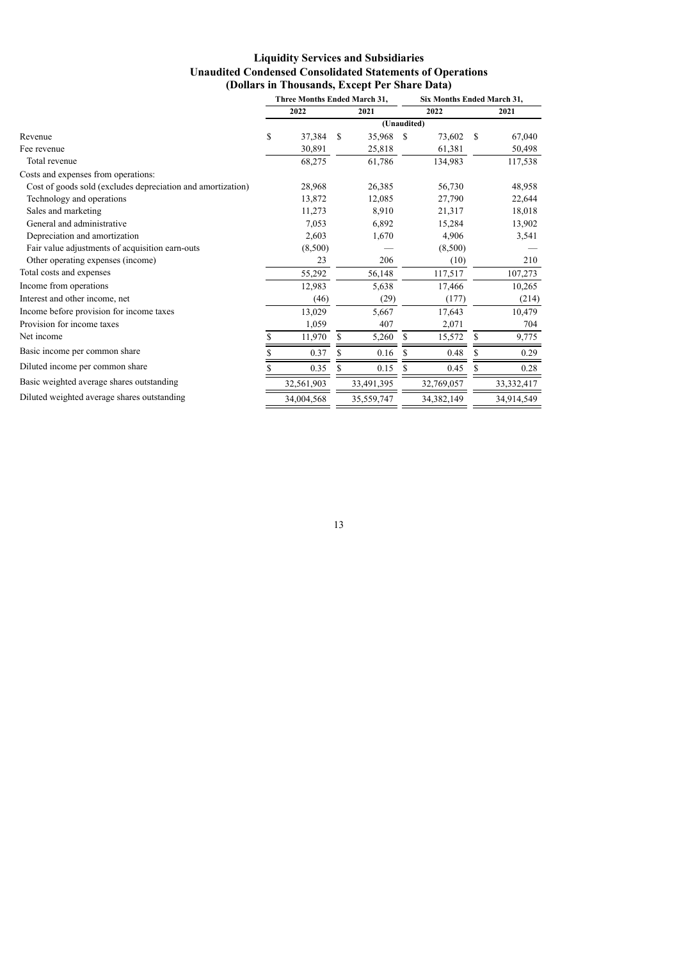# **Liquidity Services and Subsidiaries Unaudited Condensed Consolidated Statements of Operations (Dollars in Thousands, Except Per Share Data)**

|                                                             | Three Months Ended March 31, |            |     |             | <b>Six Months Ended March 31,</b> |              |    |              |
|-------------------------------------------------------------|------------------------------|------------|-----|-------------|-----------------------------------|--------------|----|--------------|
|                                                             |                              | 2022       |     | 2021        |                                   | 2022         |    | 2021         |
|                                                             |                              |            |     | (Unaudited) |                                   |              |    |              |
| Revenue                                                     | \$                           | 37,384     | \$. | 35,968      | S                                 | 73,602       | \$ | 67,040       |
| Fee revenue                                                 |                              | 30,891     |     | 25,818      |                                   | 61,381       |    | 50,498       |
| Total revenue                                               |                              | 68,275     |     | 61,786      |                                   | 134,983      |    | 117,538      |
| Costs and expenses from operations:                         |                              |            |     |             |                                   |              |    |              |
| Cost of goods sold (excludes depreciation and amortization) |                              | 28,968     |     | 26,385      |                                   | 56,730       |    | 48,958       |
| Technology and operations                                   |                              | 13,872     |     | 12,085      |                                   | 27,790       |    | 22,644       |
| Sales and marketing                                         |                              | 11,273     |     | 8,910       |                                   | 21,317       |    | 18,018       |
| General and administrative                                  |                              | 7,053      |     | 6,892       |                                   | 15,284       |    | 13,902       |
| Depreciation and amortization                               |                              | 2,603      |     | 1,670       |                                   | 4,906        |    | 3,541        |
| Fair value adjustments of acquisition earn-outs             |                              | (8,500)    |     |             |                                   | (8,500)      |    |              |
| Other operating expenses (income)                           |                              | 23         |     | 206         |                                   | (10)         |    | 210          |
| Total costs and expenses                                    |                              | 55,292     |     | 56,148      |                                   | 117,517      |    | 107,273      |
| Income from operations                                      |                              | 12,983     |     | 5,638       |                                   | 17,466       |    | 10,265       |
| Interest and other income, net                              |                              | (46)       |     | (29)        |                                   | (177)        |    | (214)        |
| Income before provision for income taxes                    |                              | 13,029     |     | 5,667       |                                   | 17,643       |    | 10,479       |
| Provision for income taxes                                  |                              | 1,059      |     | 407         |                                   | 2,071        |    | 704          |
| Net income                                                  |                              | 11,970     | \$  | 5,260       | \$                                | 15,572       | \$ | 9,775        |
| Basic income per common share                               |                              | 0.37       |     | 0.16        |                                   | 0.48         | S  | 0.29         |
| Diluted income per common share                             |                              | 0.35       |     | 0.15        | S.                                | 0.45         | S  | 0.28         |
| Basic weighted average shares outstanding                   |                              | 32,561,903 |     | 33,491,395  |                                   | 32,769,057   |    | 33, 332, 417 |
| Diluted weighted average shares outstanding                 |                              | 34,004,568 |     | 35,559,747  |                                   | 34, 382, 149 |    | 34,914,549   |
|                                                             |                              |            |     |             |                                   |              |    |              |